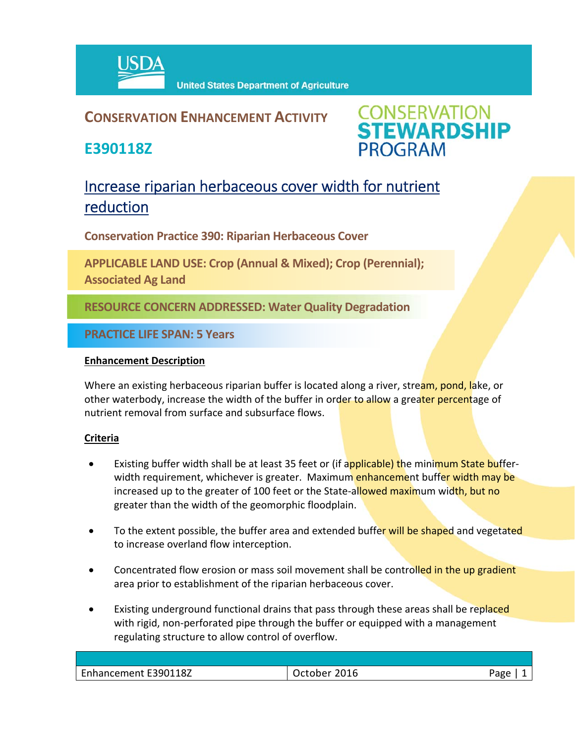

## **CONSERVATION ENHANCEMENT ACTIVITY**

**E390118Z**



# Increase riparian herbaceous cover width for nutrient reduction

**Conservation Practice 390: Riparian Herbaceous Cover** 

**APPLICABLE LAND USE: Crop (Annual & Mixed); Crop (Perennial); Associated Ag Land** 

**RESOURCE CONCERN ADDRESSED: Water Quality Degradation**

**PRACTICE LIFE SPAN: 5 Years**

### **Enhancement Description**

Where an existing herbaceous riparian buffer is located along a river, stream, pond, lake, or other waterbody, increase the width of the buffer in order to allow a greater percentage of nutrient removal from surface and subsurface flows.

### **Criteria**

- Existing buffer width shall be at least 35 feet or (if applicable) the minimum State bufferwidth requirement, whichever is greater. Maximum enhancement buffer width may be increased up to the greater of 100 feet or the State-allowed maximum width, but no greater than the width of the geomorphic floodplain.
- To the extent possible, the buffer area and extended buffer will be shaped and vegetated to increase overland flow interception.
- Concentrated flow erosion or mass soil movement shall be controlled in the up gradient area prior to establishment of the riparian herbaceous cover.
- Existing underground functional drains that pass through these areas shall be replaced with rigid, non-perforated pipe through the buffer or equipped with a management regulating structure to allow control of overflow.

| 5.00<br>∩סבי |                      |      |  |
|--------------|----------------------|------|--|
|              | Enhancement E390118Z | 2016 |  |